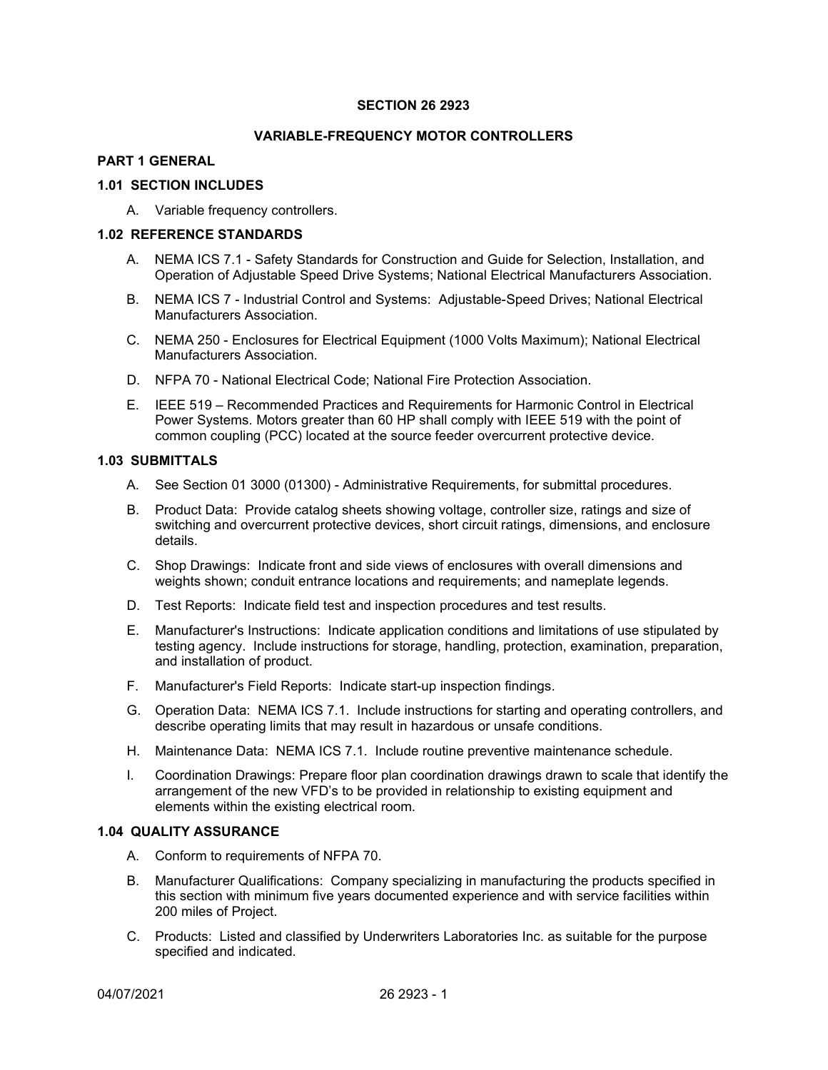### **SECTION 26 2923**

#### **VARIABLE-FREQUENCY MOTOR CONTROLLERS**

## **PART 1 GENERAL**

#### **1.01 SECTION INCLUDES**

A. Variable frequency controllers.

#### **1.02 REFERENCE STANDARDS**

- A. NEMA ICS 7.1 Safety Standards for Construction and Guide for Selection, Installation, and Operation of Adjustable Speed Drive Systems; National Electrical Manufacturers Association.
- B. NEMA ICS 7 Industrial Control and Systems: Adjustable-Speed Drives; National Electrical Manufacturers Association.
- C. NEMA 250 Enclosures for Electrical Equipment (1000 Volts Maximum); National Electrical Manufacturers Association.
- D. NFPA 70 National Electrical Code; National Fire Protection Association.
- E. IEEE 519 Recommended Practices and Requirements for Harmonic Control in Electrical Power Systems. Motors greater than 60 HP shall comply with IEEE 519 with the point of common coupling (PCC) located at the source feeder overcurrent protective device.

### **1.03 SUBMITTALS**

- A. See Section 01 3000 (01300) Administrative Requirements, for submittal procedures.
- B. Product Data: Provide catalog sheets showing voltage, controller size, ratings and size of switching and overcurrent protective devices, short circuit ratings, dimensions, and enclosure details.
- C. Shop Drawings: Indicate front and side views of enclosures with overall dimensions and weights shown; conduit entrance locations and requirements; and nameplate legends.
- D. Test Reports: Indicate field test and inspection procedures and test results.
- E. Manufacturer's Instructions: Indicate application conditions and limitations of use stipulated by testing agency. Include instructions for storage, handling, protection, examination, preparation, and installation of product.
- F. Manufacturer's Field Reports: Indicate start-up inspection findings.
- G. Operation Data: NEMA ICS 7.1. Include instructions for starting and operating controllers, and describe operating limits that may result in hazardous or unsafe conditions.
- H. Maintenance Data: NEMA ICS 7.1. Include routine preventive maintenance schedule.
- I. Coordination Drawings: Prepare floor plan coordination drawings drawn to scale that identify the arrangement of the new VFD's to be provided in relationship to existing equipment and elements within the existing electrical room.

#### **1.04 QUALITY ASSURANCE**

- A. Conform to requirements of NFPA 70.
- B. Manufacturer Qualifications: Company specializing in manufacturing the products specified in this section with minimum five years documented experience and with service facilities within 200 miles of Project.
- C. Products: Listed and classified by Underwriters Laboratories Inc. as suitable for the purpose specified and indicated.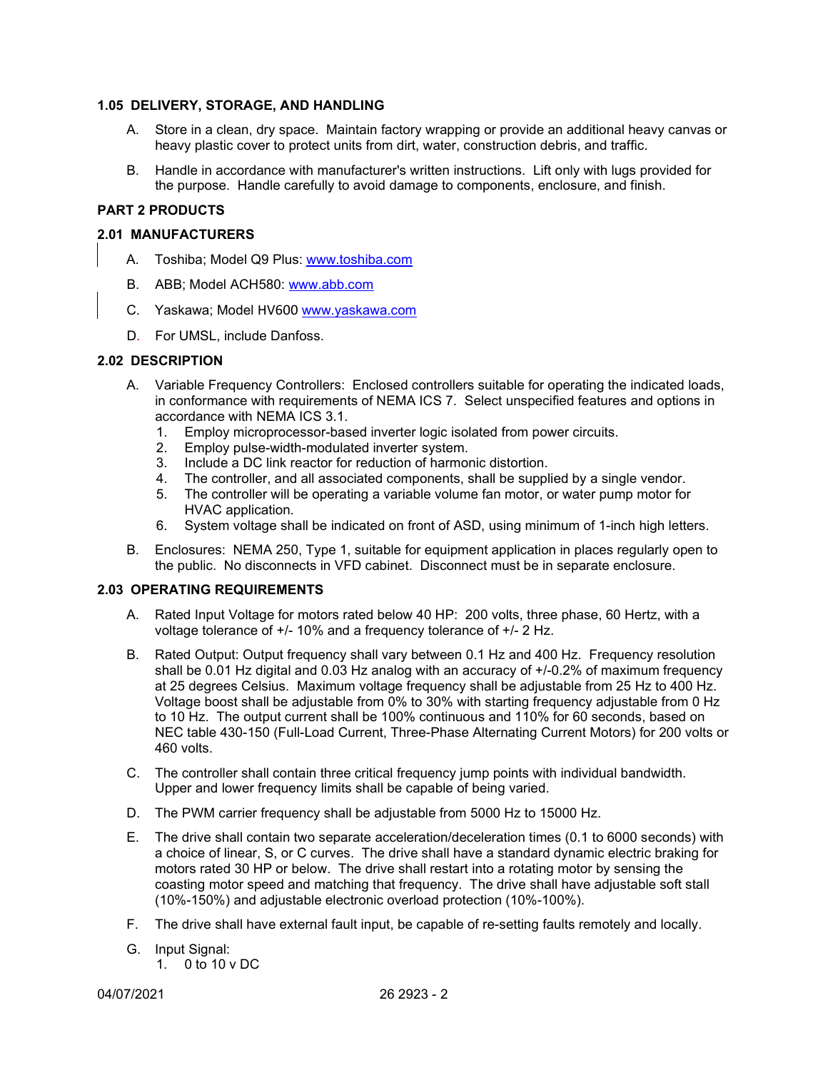## **1.05 DELIVERY, STORAGE, AND HANDLING**

- A. Store in a clean, dry space. Maintain factory wrapping or provide an additional heavy canvas or heavy plastic cover to protect units from dirt, water, construction debris, and traffic.
- B. Handle in accordance with manufacturer's written instructions. Lift only with lugs provided for the purpose. Handle carefully to avoid damage to components, enclosure, and finish.

## **PART 2 PRODUCTS**

### **2.01 MANUFACTURERS**

- A. Toshiba; Model Q9 Plus: [www.toshiba.com](http://www.toshiba.com/)
- B. ABB; Model ACH580: [www.abb.com](http://www.abb.com/)
- C. Yaskawa; Model HV600 [www.yaskawa.com](http://www.yaskawa.com/)
- D. For UMSL, include Danfoss.

### **2.02 DESCRIPTION**

- A. Variable Frequency Controllers: Enclosed controllers suitable for operating the indicated loads, in conformance with requirements of NEMA ICS 7. Select unspecified features and options in accordance with NEMA ICS 3.1.
	- 1. Employ microprocessor-based inverter logic isolated from power circuits.
	- 2. Employ pulse-width-modulated inverter system.
	- 3. Include a DC link reactor for reduction of harmonic distortion.
	- 4. The controller, and all associated components, shall be supplied by a single vendor.
	- 5. The controller will be operating a variable volume fan motor, or water pump motor for HVAC application.
	- 6. System voltage shall be indicated on front of ASD, using minimum of 1-inch high letters.
- B. Enclosures: NEMA 250, Type 1, suitable for equipment application in places regularly open to the public. No disconnects in VFD cabinet. Disconnect must be in separate enclosure.

### **2.03 OPERATING REQUIREMENTS**

- A. Rated Input Voltage for motors rated below 40 HP: 200 volts, three phase, 60 Hertz, with a voltage tolerance of +/- 10% and a frequency tolerance of +/- 2 Hz.
- B. Rated Output: Output frequency shall vary between 0.1 Hz and 400 Hz. Frequency resolution shall be 0.01 Hz digital and 0.03 Hz analog with an accuracy of +/-0.2% of maximum frequency at 25 degrees Celsius. Maximum voltage frequency shall be adjustable from 25 Hz to 400 Hz. Voltage boost shall be adjustable from 0% to 30% with starting frequency adjustable from 0 Hz to 10 Hz. The output current shall be 100% continuous and 110% for 60 seconds, based on NEC table 430-150 (Full-Load Current, Three-Phase Alternating Current Motors) for 200 volts or 460 volts.
- C. The controller shall contain three critical frequency jump points with individual bandwidth. Upper and lower frequency limits shall be capable of being varied.
- D. The PWM carrier frequency shall be adjustable from 5000 Hz to 15000 Hz.
- E. The drive shall contain two separate acceleration/deceleration times (0.1 to 6000 seconds) with a choice of linear, S, or C curves. The drive shall have a standard dynamic electric braking for motors rated 30 HP or below. The drive shall restart into a rotating motor by sensing the coasting motor speed and matching that frequency. The drive shall have adjustable soft stall (10%-150%) and adjustable electronic overload protection (10%-100%).
- F. The drive shall have external fault input, be capable of re-setting faults remotely and locally.
- G. Input Signal:
	- 1. 0 to 10 v DC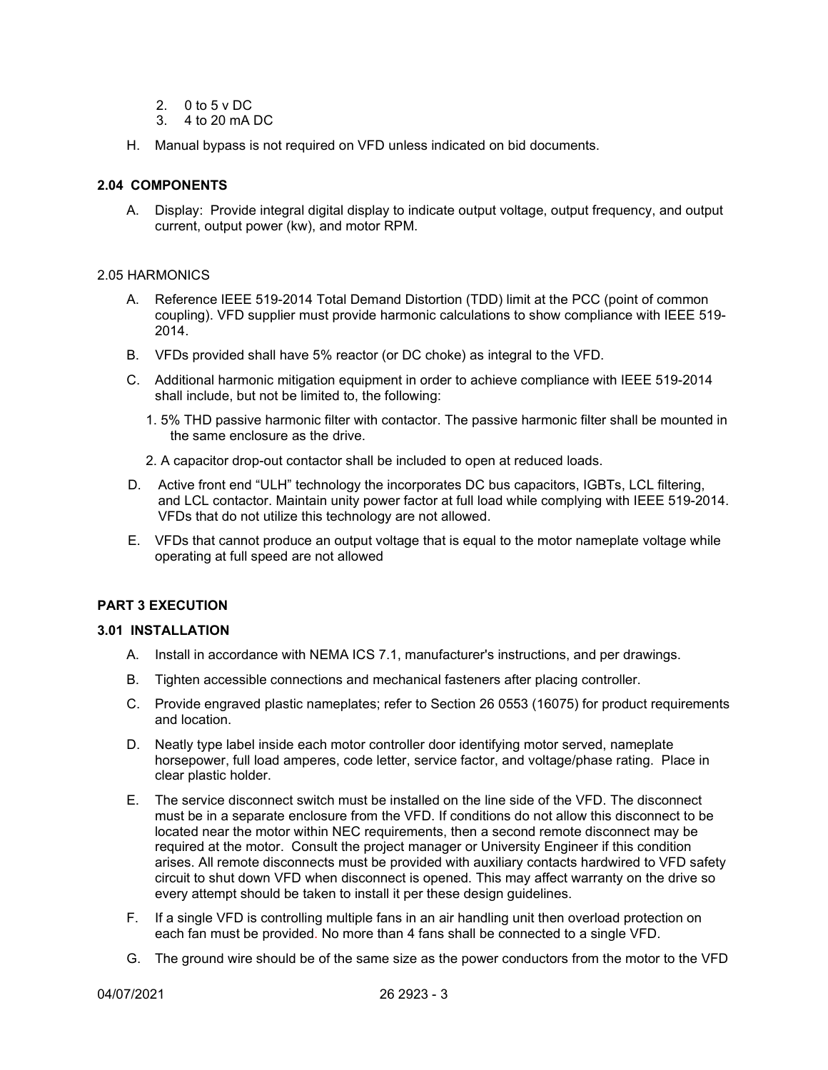- 2.  $0$  to 5 v DC.
- 3. 4 to 20 mA DC
- H. Manual bypass is not required on VFD unless indicated on bid documents.

# **2.04 COMPONENTS**

A. Display: Provide integral digital display to indicate output voltage, output frequency, and output current, output power (kw), and motor RPM.

### 2.05 HARMONICS

- A. Reference IEEE 519-2014 Total Demand Distortion (TDD) limit at the PCC (point of common coupling). VFD supplier must provide harmonic calculations to show compliance with IEEE 519- 2014.
- B. VFDs provided shall have 5% reactor (or DC choke) as integral to the VFD.
- C. Additional harmonic mitigation equipment in order to achieve compliance with IEEE 519-2014 shall include, but not be limited to, the following:
	- 1. 5% THD passive harmonic filter with contactor. The passive harmonic filter shall be mounted in the same enclosure as the drive.
	- 2. A capacitor drop-out contactor shall be included to open at reduced loads.
- D. Active front end "ULH" technology the incorporates DC bus capacitors, IGBTs, LCL filtering, and LCL contactor. Maintain unity power factor at full load while complying with IEEE 519-2014. VFDs that do not utilize this technology are not allowed.
- E. VFDs that cannot produce an output voltage that is equal to the motor nameplate voltage while operating at full speed are not allowed

### **PART 3 EXECUTION**

### **3.01 INSTALLATION**

- A. Install in accordance with NEMA ICS 7.1, manufacturer's instructions, and per drawings.
- B. Tighten accessible connections and mechanical fasteners after placing controller.
- C. Provide engraved plastic nameplates; refer to Section 26 0553 (16075) for product requirements and location.
- D. Neatly type label inside each motor controller door identifying motor served, nameplate horsepower, full load amperes, code letter, service factor, and voltage/phase rating. Place in clear plastic holder.
- E. The service disconnect switch must be installed on the line side of the VFD. The disconnect must be in a separate enclosure from the VFD. If conditions do not allow this disconnect to be located near the motor within NEC requirements, then a second remote disconnect may be required at the motor. Consult the project manager or University Engineer if this condition arises. All remote disconnects must be provided with auxiliary contacts hardwired to VFD safety circuit to shut down VFD when disconnect is opened. This may affect warranty on the drive so every attempt should be taken to install it per these design guidelines.
- F. If a single VFD is controlling multiple fans in an air handling unit then overload protection on each fan must be provided. No more than 4 fans shall be connected to a single VFD.
- G. The ground wire should be of the same size as the power conductors from the motor to the VFD